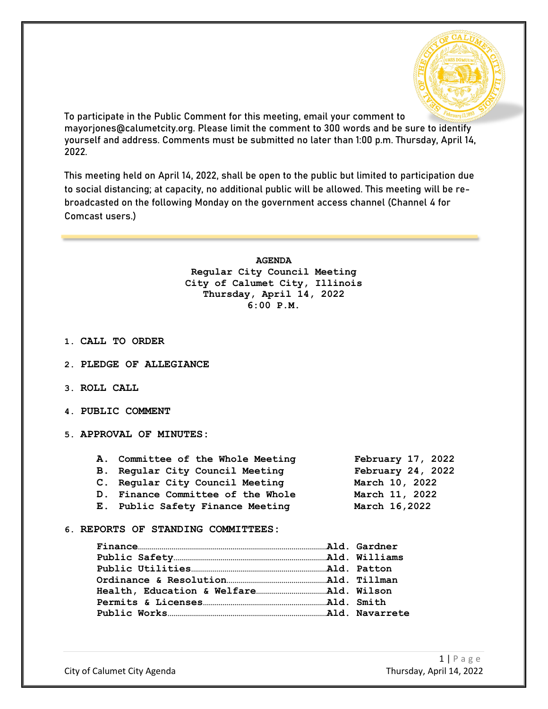

To participate in the Public Comment for this meeting, email your comment to mayorjones@calumetcity.org. Please limit the comment to 300 words and be sure to identify yourself and address. Comments must be submitted no later than 1:00 p.m. Thursday, April 14, 2022.

This meeting held on April 14, 2022, shall be open to the public but limited to participation due to social distancing; at capacity, no additional public will be allowed. This meeting will be rebroadcasted on the following Monday on the government access channel (Channel 4 for Comcast users.)

> **AGENDA Regular City Council Meeting City of Calumet City, Illinois Thursday, April 14, 2022 6:00 P.M.**

- **1. CALL TO ORDER**
- **2. PLEDGE OF ALLEGIANCE**
- **3. ROLL CALL**
- **4. PUBLIC COMMENT**
- **5. APPROVAL OF MINUTES:**

| A. Committee of the Whole Meeting | February 17, 2022 |
|-----------------------------------|-------------------|
| B. Regular City Council Meeting   | February 24, 2022 |
| C. Regular City Council Meeting   | March 10, 2022    |
| D. Finance Committee of the Whole | March 11, 2022    |
| E. Public Safety Finance Meeting  | March 16,2022     |
|                                   |                   |

**6. REPORTS OF STANDING COMMITTEES:**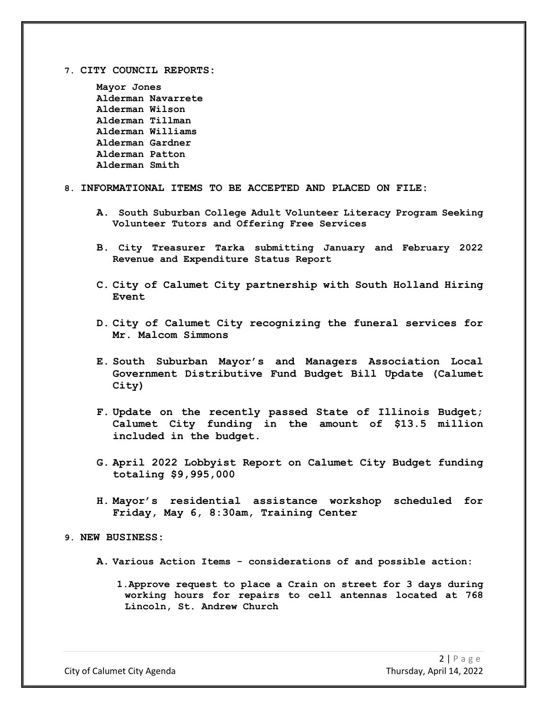**7. CITY COUNCIL REPORTS:**

**Mayor Jones Alderman Navarrete Alderman Wilson Alderman Tillman Alderman Williams Alderman Gardner Alderman Patton Alderman Smith**

### **8. INFORMATIONAL ITEMS TO BE ACCEPTED AND PLACED ON FILE:**

- **A. South Suburban College Adult Volunteer Literacy Program Seeking Volunteer Tutors and Offering Free Services**
- **B. City Treasurer Tarka submitting January and February 2022 Revenue and Expenditure Status Report**
- **C. City of Calumet City partnership with South Holland Hiring Event**
- **D. City of Calumet City recognizing the funeral services for Mr. Malcom Simmons**
- **E. South Suburban Mayor's and Managers Association Local Government Distributive Fund Budget Bill Update (Calumet City)**
- **F. Update on the recently passed State of Illinois Budget; Calumet City funding in the amount of \$13.5 million included in the budget.**
- **G. April 2022 Lobbyist Report on Calumet City Budget funding totaling \$9,995,000**
- **H. Mayor's residential assistance workshop scheduled for Friday, May 6, 8:30am, Training Center**

## **9. NEW BUSINESS:**

- **A. Various Action Items - considerations of and possible action:**
	- **1.Approve request to place a Crain on street for 3 days during working hours for repairs to cell antennas located at 768 Lincoln, St. Andrew Church**

City of Calumet City Agenda Thursday, April 14, 2022

 $2$  | Page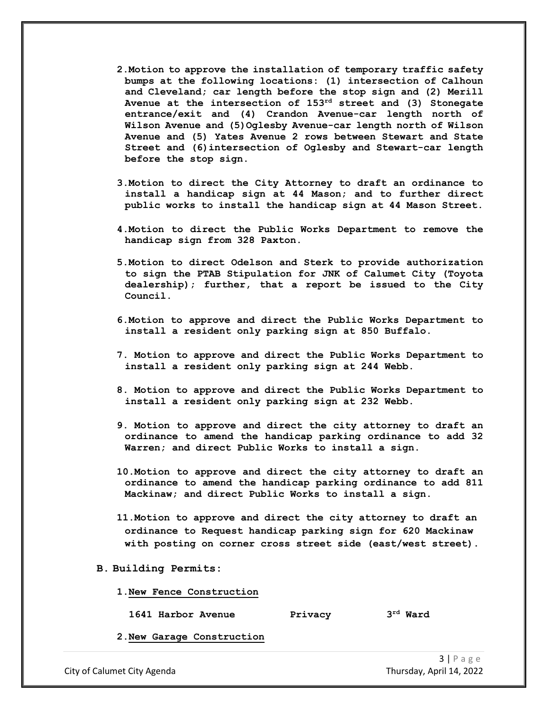- **2.Motion to approve the installation of temporary traffic safety bumps at the following locations: (1) intersection of Calhoun and Cleveland; car length before the stop sign and (2) Merill Avenue at the intersection of 153rd street and (3) Stonegate entrance/exit and (4) Crandon Avenue-car length north of Wilson Avenue and (5)Oglesby Avenue-car length north of Wilson Avenue and (5) Yates Avenue 2 rows between Stewart and State Street and (6)intersection of Oglesby and Stewart-car length before the stop sign.**
- **3.Motion to direct the City Attorney to draft an ordinance to install a handicap sign at 44 Mason; and to further direct public works to install the handicap sign at 44 Mason Street.**
- **4.Motion to direct the Public Works Department to remove the handicap sign from 328 Paxton.**
- **5.Motion to direct Odelson and Sterk to provide authorization to sign the PTAB Stipulation for JNK of Calumet City (Toyota dealership); further, that a report be issued to the City Council.**
- **6.Motion to approve and direct the Public Works Department to install a resident only parking sign at 850 Buffalo.**
- **7. Motion to approve and direct the Public Works Department to install a resident only parking sign at 244 Webb.**
- **8. Motion to approve and direct the Public Works Department to install a resident only parking sign at 232 Webb.**
- **9. Motion to approve and direct the city attorney to draft an ordinance to amend the handicap parking ordinance to add 32 Warren; and direct Public Works to install a sign.**
- **10.Motion to approve and direct the city attorney to draft an ordinance to amend the handicap parking ordinance to add 811 Mackinaw; and direct Public Works to install a sign.**
- **11.Motion to approve and direct the city attorney to draft an ordinance to Request handicap parking sign for 620 Mackinaw with posting on corner cross street side (east/west street).**
- **B. Building Permits:**
	- **1.New Fence Construction**

**1641 Harbor Avenue Privacy 3rd Ward** 

**2.New Garage Construction**

City of Calumet City Agenda Thursday, April 14, 2022

3 | Page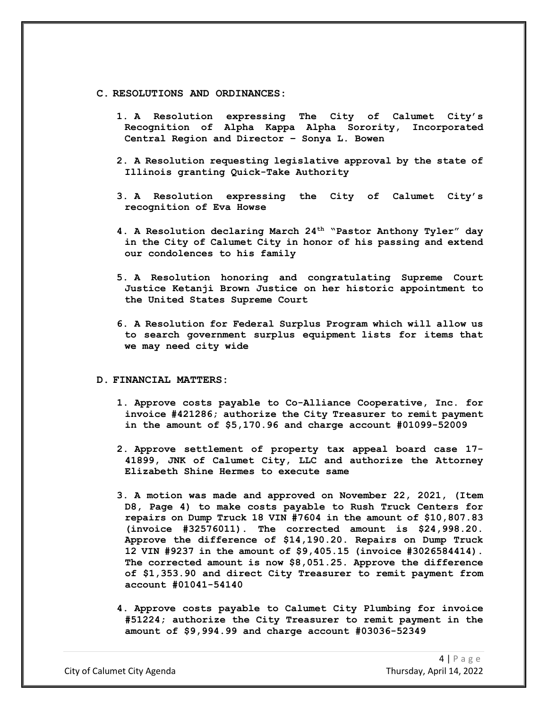#### **C. RESOLUTIONS AND ORDINANCES:**

- **1. A Resolution expressing The City of Calumet City's**  Recognition of Alpha Kappa Alpha Sorority, **Central Region and Director – Sonya L. Bowen**
- **2. A Resolution requesting legislative approval by the state of Illinois granting Quick-Take Authority**
- **3. A Resolution expressing the City of Calumet City's recognition of Eva Howse**
- **4. A Resolution declaring March 24th "Pastor Anthony Tyler" day in the City of Calumet City in honor of his passing and extend our condolences to his family**
- **5. A Resolution honoring and congratulating Supreme Court Justice Ketanji Brown Justice on her historic appointment to the United States Supreme Court**
- **6. A Resolution for Federal Surplus Program which will allow us to search government surplus equipment lists for items that we may need city wide**

#### **D. FINANCIAL MATTERS:**

- **1. Approve costs payable to Co-Alliance Cooperative, Inc. for invoice #421286; authorize the City Treasurer to remit payment in the amount of \$5,170.96 and charge account #01099-52009**
- **2. Approve settlement of property tax appeal board case 17- 41899, JNK of Calumet City, LLC and authorize the Attorney Elizabeth Shine Hermes to execute same**
- **3. A motion was made and approved on November 22, 2021, (Item D8, Page 4) to make costs payable to Rush Truck Centers for repairs on Dump Truck 18 VIN #7604 in the amount of \$10,807.83 (invoice #32576011). The corrected amount is \$24,998.20. Approve the difference of \$14,190.20. Repairs on Dump Truck 12 VIN #9237 in the amount of \$9,405.15 (invoice #3026584414). The corrected amount is now \$8,051.25. Approve the difference of \$1,353.90 and direct City Treasurer to remit payment from account #01041-54140**
- **4. Approve costs payable to Calumet City Plumbing for invoice #51224; authorize the City Treasurer to remit payment in the amount of \$9,994.99 and charge account #03036-52349**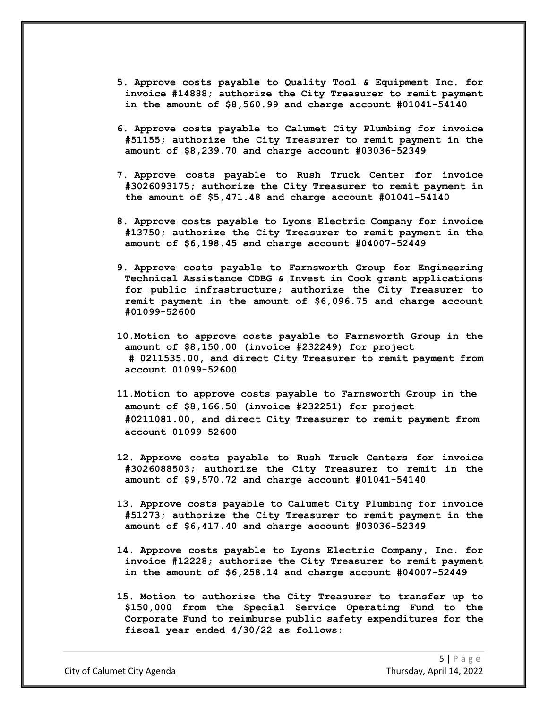- **5. Approve costs payable to Quality Tool & Equipment Inc. for invoice #14888; authorize the City Treasurer to remit payment in the amount of \$8,560.99 and charge account #01041-54140**
- **6. Approve costs payable to Calumet City Plumbing for invoice #51155; authorize the City Treasurer to remit payment in the amount of \$8,239.70 and charge account #03036-52349**
- **7. Approve costs payable to Rush Truck Center for invoice #3026093175; authorize the City Treasurer to remit payment in the amount of \$5,471.48 and charge account #01041-54140**
- **8. Approve costs payable to Lyons Electric Company for invoice #13750; authorize the City Treasurer to remit payment in the amount of \$6,198.45 and charge account #04007-52449**
- **9. Approve costs payable to Farnsworth Group for Engineering Technical Assistance CDBG & Invest in Cook grant applications for public infrastructure; authorize the City Treasurer to remit payment in the amount of \$6,096.75 and charge account #01099-52600**
- **10.Motion to approve costs payable to Farnsworth Group in the amount of \$8,150.00 (invoice #232249) for project # 0211535.00, and direct City Treasurer to remit payment from account 01099-52600**
- **11.Motion to approve costs payable to Farnsworth Group in the amount of \$8,166.50 (invoice #232251) for project #0211081.00, and direct City Treasurer to remit payment from account 01099-52600**
- **12. Approve costs payable to Rush Truck Centers for invoice #3026088503; authorize the City Treasurer to remit in the amount of \$9,570.72 and charge account #01041-54140**
- **13. Approve costs payable to Calumet City Plumbing for invoice #51273; authorize the City Treasurer to remit payment in the amount of \$6,417.40 and charge account #03036-52349**
- **14. Approve costs payable to Lyons Electric Company, Inc. for invoice #12228; authorize the City Treasurer to remit payment in the amount of \$6,258.14 and charge account #04007-52449**
- **15. Motion to authorize the City Treasurer to transfer up to \$150,000 from the Special Service Operating Fund to the Corporate Fund to reimburse public safety expenditures for the fiscal year ended 4/30/22 as follows:**

City of Calumet City Agenda Thursday, April 14, 2022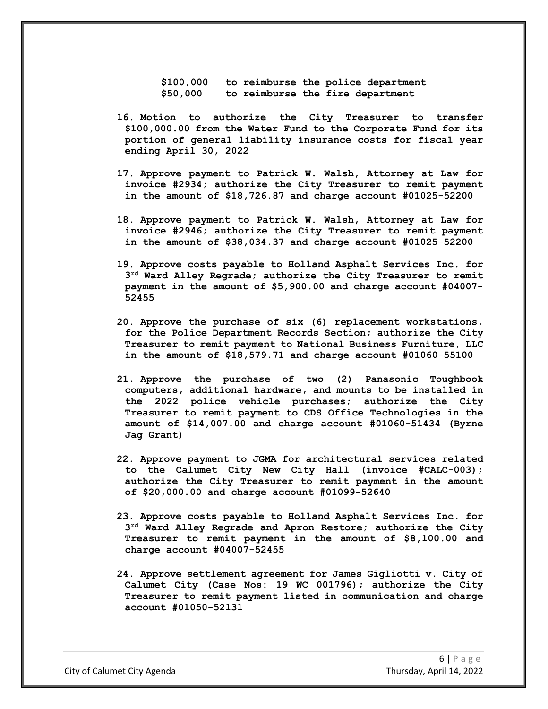**\$100,000 to reimburse the police department \$50,000 to reimburse the fire department**

- **16. Motion to authorize the City Treasurer to transfer \$100,000.00 from the Water Fund to the Corporate Fund for its portion of general liability insurance costs for fiscal year ending April 30, 2022**
- **17. Approve payment to Patrick W. Walsh, Attorney at Law for invoice #2934; authorize the City Treasurer to remit payment in the amount of \$18,726.87 and charge account #01025-52200**
- **18. Approve payment to Patrick W. Walsh, Attorney at Law for invoice #2946; authorize the City Treasurer to remit payment in the amount of \$38,034.37 and charge account #01025-52200**
- **19. Approve costs payable to Holland Asphalt Services Inc. for 3rd Ward Alley Regrade; authorize the City Treasurer to remit payment in the amount of \$5,900.00 and charge account #04007- 52455**
- **20. Approve the purchase of six (6) replacement workstations, for the Police Department Records Section; authorize the City Treasurer to remit payment to National Business Furniture, LLC in the amount of \$18,579.71 and charge account #01060-55100**
- **21. Approve the purchase of two (2) Panasonic Toughbook computers, additional hardware, and mounts to be installed in the 2022 police vehicle purchases; authorize the City Treasurer to remit payment to CDS Office Technologies in the amount of \$14,007.00 and charge account #01060-51434 (Byrne Jag Grant)**
- **22. Approve payment to JGMA for architectural services related to the Calumet City New City Hall (invoice #CALC-003); authorize the City Treasurer to remit payment in the amount of \$20,000.00 and charge account #01099-52640**
- **23. Approve costs payable to Holland Asphalt Services Inc. for 3rd Ward Alley Regrade and Apron Restore; authorize the City Treasurer to remit payment in the amount of \$8,100.00 and charge account #04007-52455**
- **24. Approve settlement agreement for James Gigliotti v. City of Calumet City (Case Nos: 19 WC 001796); authorize the City Treasurer to remit payment listed in communication and charge account #01050-52131**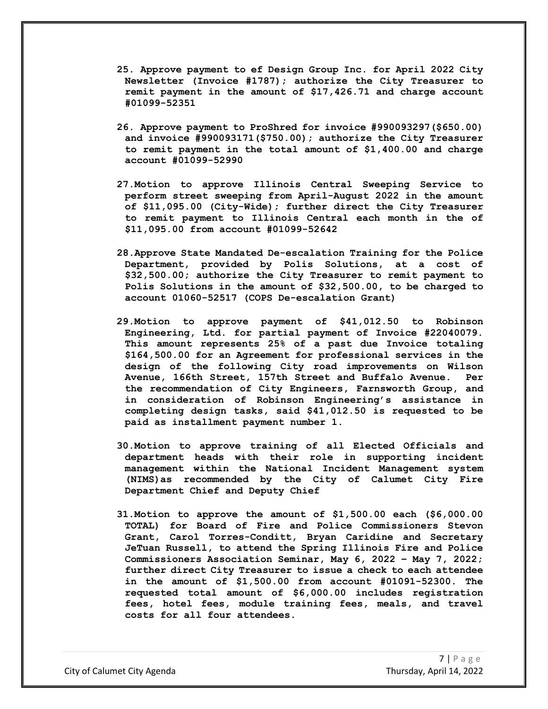- **25. Approve payment to ef Design Group Inc. for April 2022 City Newsletter (Invoice #1787); authorize the City Treasurer to remit payment in the amount of \$17,426.71 and charge account #01099-52351**
- **26. Approve payment to ProShred for invoice #990093297(\$650.00) and invoice #990093171(\$750.00); authorize the City Treasurer to remit payment in the total amount of \$1,400.00 and charge account #01099-52990**
- **27.Motion to approve Illinois Central Sweeping Service to perform street sweeping from April-August 2022 in the amount of \$11,095.00 (City-Wide); further direct the City Treasurer to remit payment to Illinois Central each month in the of \$11,095.00 from account #01099-52642**
- **28.Approve State Mandated De-escalation Training for the Police Department, provided by Polis Solutions, at a cost of \$32,500.00; authorize the City Treasurer to remit payment to Polis Solutions in the amount of \$32,500.00, to be charged to account 01060-52517 (COPS De-escalation Grant)**
- **29.Motion to approve payment of \$41,012.50 to Robinson Engineering, Ltd. for partial payment of Invoice #22040079. This amount represents 25% of a past due Invoice totaling \$164,500.00 for an Agreement for professional services in the design of the following City road improvements on Wilson Avenue, 166th Street, 157th Street and Buffalo Avenue. Per the recommendation of City Engineers, Farnsworth Group, and in consideration of Robinson Engineering's assistance in completing design tasks, said \$41,012.50 is requested to be paid as installment payment number 1.**
- **30.Motion to approve training of all Elected Officials and department heads with their role in supporting incident management within the National Incident Management system (NIMS)as recommended by the City of Calumet City Fire Department Chief and Deputy Chief**
- **31.Motion to approve the amount of \$1,500.00 each (\$6,000.00 TOTAL) for Board of Fire and Police Commissioners Stevon Grant, Carol Torres-Conditt, Bryan Caridine and Secretary JeTuan Russell, to attend the Spring Illinois Fire and Police Commissioners Association Seminar, May 6, 2022 – May 7, 2022; further direct City Treasurer to issue a check to each attendee in the amount of \$1,500.00 from account #01091-52300. The requested total amount of \$6,000.00 includes registration fees, hotel fees, module training fees, meals, and travel costs for all four attendees.**